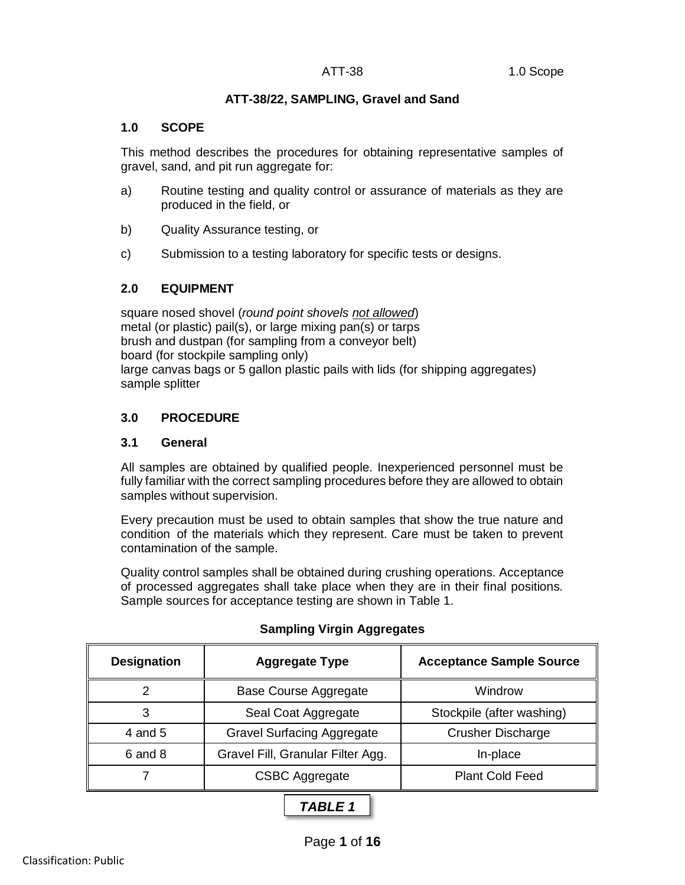# **ATT-38/22, SAMPLING, Gravel and Sand**

# **1.0 SCOPE**

This method describes the procedures for obtaining representative samples of gravel, sand, and pit run aggregate for:

- a) Routine testing and quality control or assurance of materials as they are produced in the field, or
- b) Quality Assurance testing, or
- c) Submission to a testing laboratory for specific tests or designs.

# **2.0 EQUIPMENT**

square nosed shovel (*round point shovels not allowed*) metal (or plastic) pail(s), or large mixing pan(s) or tarps brush and dustpan (for sampling from a conveyor belt) board (for stockpile sampling only) large canvas bags or 5 gallon plastic pails with lids (for shipping aggregates) sample splitter

# **3.0 PROCEDURE**

# **3.1 General**

All samples are obtained by qualified people. Inexperienced personnel must be fully familiar with the correct sampling procedures before they are allowed to obtain samples without supervision.

Every precaution must be used to obtain samples that show the true nature and condition of the materials which they represent. Care must be taken to prevent contamination of the sample.

Quality control samples shall be obtained during crushing operations. Acceptance of processed aggregates shall take place when they are in their final positions. Sample sources for acceptance testing are shown in Table 1.

| <b>Designation</b> | <b>Aggregate Type</b>             | <b>Acceptance Sample Source</b> |
|--------------------|-----------------------------------|---------------------------------|
|                    | <b>Base Course Aggregate</b>      | Windrow                         |
| 3                  | Seal Coat Aggregate               | Stockpile (after washing)       |
| 4 and 5            | <b>Gravel Surfacing Aggregate</b> | <b>Crusher Discharge</b>        |
| 6 and 8            | Gravel Fill, Granular Filter Agg. | In-place                        |
|                    | <b>CSBC Aggregate</b>             | <b>Plant Cold Feed</b>          |
|                    |                                   |                                 |

# **Sampling Virgin Aggregates**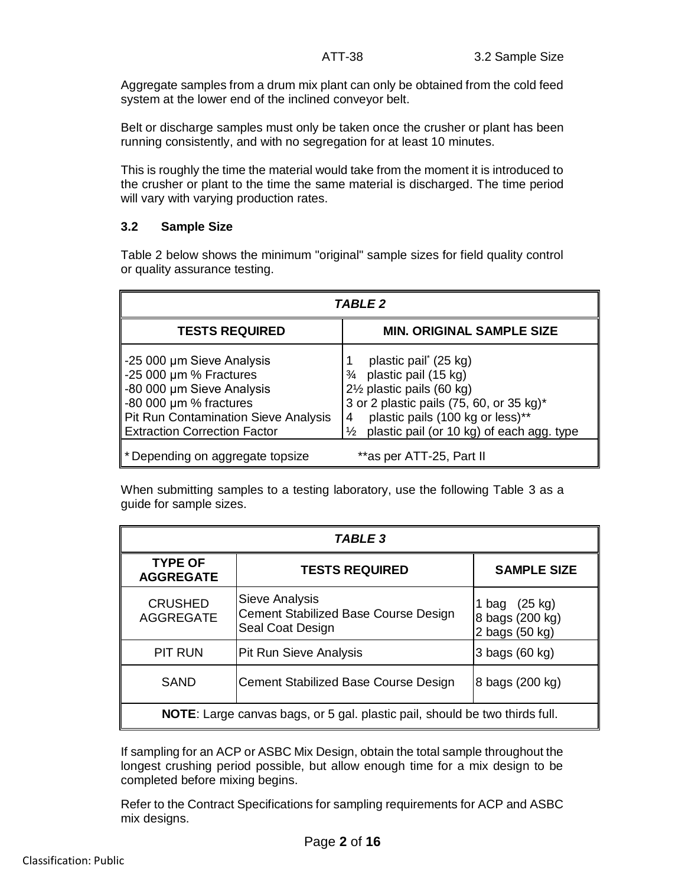Aggregate samples from a drum mix plant can only be obtained from the cold feed system at the lower end of the inclined conveyor belt.

Belt or discharge samples must only be taken once the crusher or plant has been running consistently, and with no segregation for at least 10 minutes.

This is roughly the time the material would take from the moment it is introduced to the crusher or plant to the time the same material is discharged. The time period will vary with varying production rates.

#### **3.2 Sample Size**

Table 2 below shows the minimum "original" sample sizes for field quality control or quality assurance testing.

| TABLE 2                                                                                                                                                                              |                                                                                                                                                                                                                                                   |  |  |
|--------------------------------------------------------------------------------------------------------------------------------------------------------------------------------------|---------------------------------------------------------------------------------------------------------------------------------------------------------------------------------------------------------------------------------------------------|--|--|
| <b>TESTS REQUIRED</b>                                                                                                                                                                | <b>MIN. ORIGINAL SAMPLE SIZE</b>                                                                                                                                                                                                                  |  |  |
| ∥-25 000 µm Sieve Analysis<br>-25 000 µm % Fractures<br>∥-80 000 µm Sieve Analysis<br>-80 000 µm % fractures<br>Pit Run Contamination Sieve Analysis<br>Extraction Correction Factor | plastic pail <sup>*</sup> (25 kg)<br>$\frac{3}{4}$ plastic pail (15 kg)<br>2½ plastic pails (60 kg)<br>3 or 2 plastic pails (75, 60, or 35 kg)*<br>plastic pails (100 kg or less)**<br>plastic pail (or 10 kg) of each agg. type<br>$\frac{1}{2}$ |  |  |
| * Depending on aggregate topsize                                                                                                                                                     | **as per ATT-25, Part II                                                                                                                                                                                                                          |  |  |

When submitting samples to a testing laboratory, use the following Table 3 as a guide for sample sizes.

| <b>TABLE 3</b>                                                                     |                                                                            |                                                    |  |  |
|------------------------------------------------------------------------------------|----------------------------------------------------------------------------|----------------------------------------------------|--|--|
| <b>TYPE OF</b><br><b>AGGREGATE</b>                                                 | <b>TESTS REQUIRED</b>                                                      | <b>SAMPLE SIZE</b>                                 |  |  |
| <b>CRUSHED</b><br><b>AGGREGATE</b>                                                 | Sieve Analysis<br>Cement Stabilized Base Course Design<br>Seal Coat Design | 1 bag (25 kg)<br>8 bags (200 kg)<br>2 bags (50 kg) |  |  |
| <b>PIT RUN</b>                                                                     | Pit Run Sieve Analysis                                                     | 3 bags (60 kg)                                     |  |  |
| <b>SAND</b>                                                                        | Cement Stabilized Base Course Design                                       | 8 bags (200 kg)                                    |  |  |
| <b>NOTE:</b> Large canvas bags, or 5 gal. plastic pail, should be two thirds full. |                                                                            |                                                    |  |  |

If sampling for an ACP or ASBC Mix Design, obtain the total sample throughout the longest crushing period possible, but allow enough time for a mix design to be completed before mixing begins.

Refer to the Contract Specifications for sampling requirements for ACP and ASBC mix designs.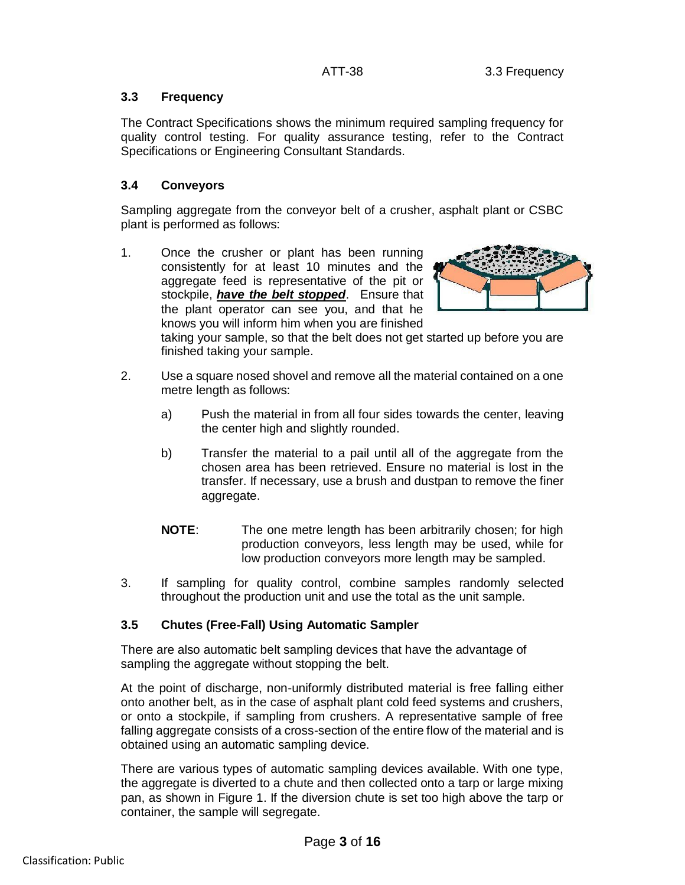# **3.3 Frequency**

The Contract Specifications shows the minimum required sampling frequency for quality control testing. For quality assurance testing, refer to the Contract Specifications or Engineering Consultant Standards.

# **3.4 Conveyors**

Sampling aggregate from the conveyor belt of a crusher, asphalt plant or CSBC plant is performed as follows:

1. Once the crusher or plant has been running consistently for at least 10 minutes and the aggregate feed is representative of the pit or stockpile, *have the belt stopped*. Ensure that the plant operator can see you, and that he knows you will inform him when you are finished



taking your sample, so that the belt does not get started up before you are finished taking your sample.

- 2. Use a square nosed shovel and remove all the material contained on a one metre length as follows:
	- a) Push the material in from all four sides towards the center, leaving the center high and slightly rounded.
	- b) Transfer the material to a pail until all of the aggregate from the chosen area has been retrieved. Ensure no material is lost in the transfer. If necessary, use a brush and dustpan to remove the finer aggregate.
	- **NOTE**: The one metre length has been arbitrarily chosen; for high production conveyors, less length may be used, while for low production conveyors more length may be sampled.
- 3. If sampling for quality control, combine samples randomly selected throughout the production unit and use the total as the unit sample.

# **3.5 Chutes (Free-Fall) Using Automatic Sampler**

There are also automatic belt sampling devices that have the advantage of sampling the aggregate without stopping the belt.

At the point of discharge, non-uniformly distributed material is free falling either onto another belt, as in the case of asphalt plant cold feed systems and crushers, or onto a stockpile, if sampling from crushers. A representative sample of free falling aggregate consists of a cross-section of the entire flow of the material and is obtained using an automatic sampling device.

There are various types of automatic sampling devices available. With one type, the aggregate is diverted to a chute and then collected onto a tarp or large mixing pan, as shown in Figure 1. If the diversion chute is set too high above the tarp or container, the sample will segregate.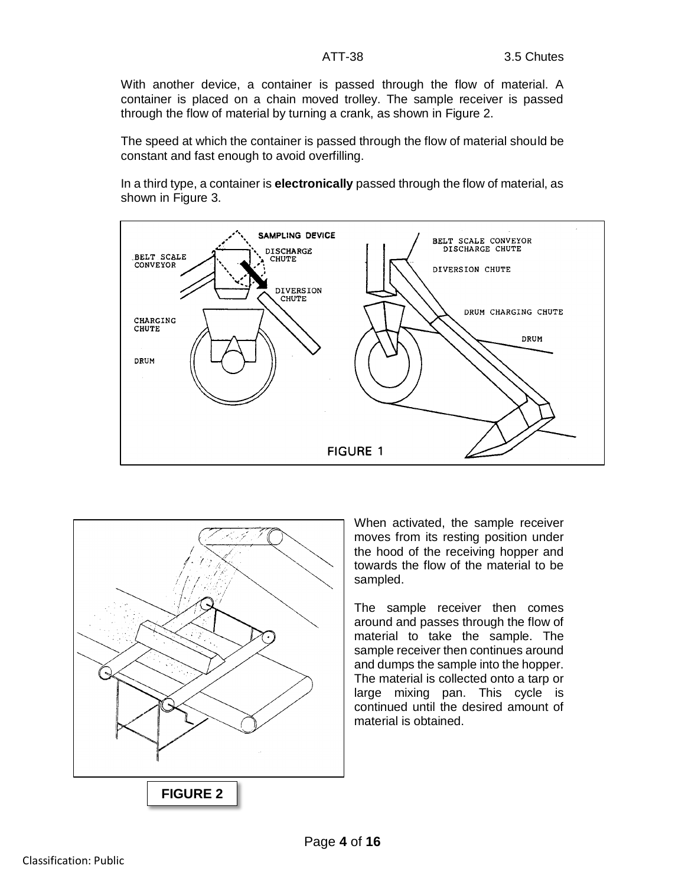With another device, a container is passed through the flow of material. A container is placed on a chain moved trolley. The sample receiver is passed through the flow of material by turning a crank, as shown in Figure 2.

The speed at which the container is passed through the flow of material should be constant and fast enough to avoid overfilling.

In a third type, a container is **electronically** passed through the flow of material, as shown in Figure 3.





When activated, the sample receiver moves from its resting position under the hood of the receiving hopper and towards the flow of the material to be sampled.

The sample receiver then comes around and passes through the flow of material to take the sample. The sample receiver then continues around and dumps the sample into the hopper. The material is collected onto a tarp or large mixing pan. This cycle is continued until the desired amount of material is obtained.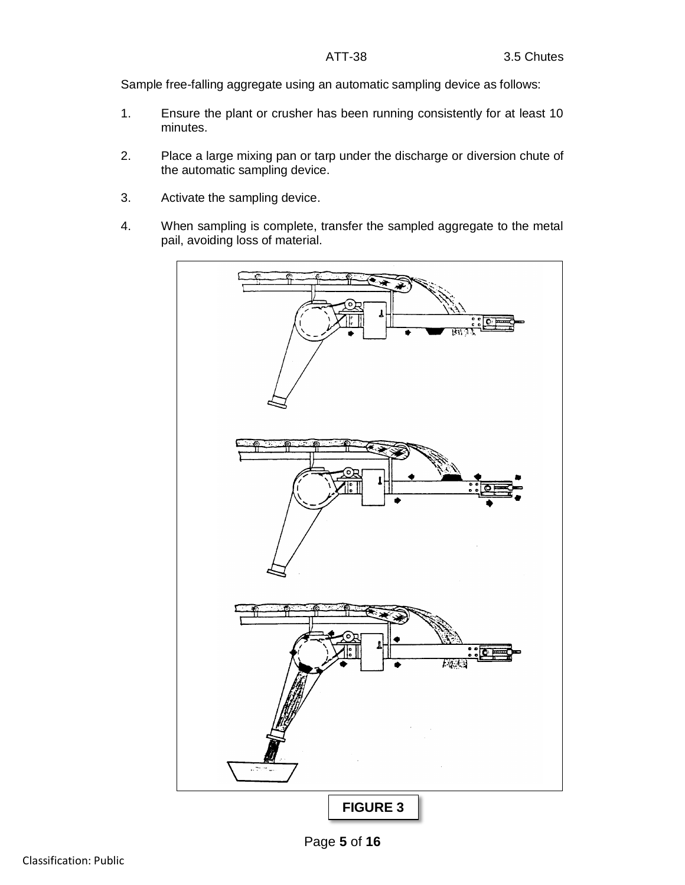Sample free-falling aggregate using an automatic sampling device as follows:

- 1. Ensure the plant or crusher has been running consistently for at least 10 minutes.
- 2. Place a large mixing pan or tarp under the discharge or diversion chute of the automatic sampling device.
- 3. Activate the sampling device.
- 4. When sampling is complete, transfer the sampled aggregate to the metal pail, avoiding loss of material.

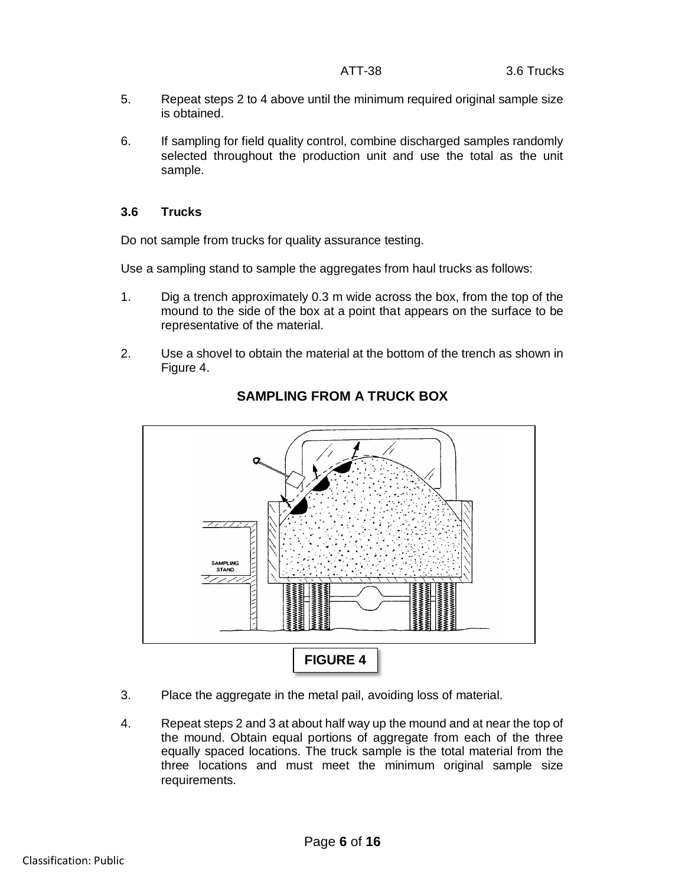- 5. Repeat steps 2 to 4 above until the minimum required original sample size is obtained.
- 6. If sampling for field quality control, combine discharged samples randomly selected throughout the production unit and use the total as the unit sample.

# **3.6 Trucks**

Do not sample from trucks for quality assurance testing.

Use a sampling stand to sample the aggregates from haul trucks as follows:

- 1. Dig a trench approximately 0.3 m wide across the box, from the top of the mound to the side of the box at a point that appears on the surface to be representative of the material.
- 2. Use a shovel to obtain the material at the bottom of the trench as shown in Figure 4.



# **SAMPLING FROM A TRUCK BOX**

- 3. Place the aggregate in the metal pail, avoiding loss of material.
- 4. Repeat steps 2 and 3 at about half way up the mound and at near the top of the mound. Obtain equal portions of aggregate from each of the three equally spaced locations. The truck sample is the total material from the three locations and must meet the minimum original sample size requirements.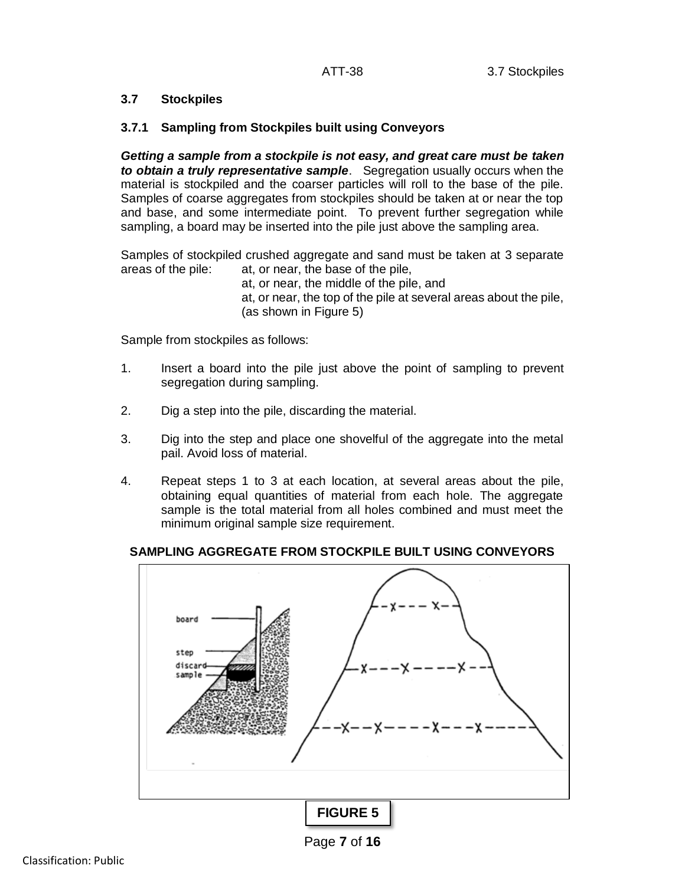# **3.7 Stockpiles**

# **3.7.1 Sampling from Stockpiles built using Conveyors**

*Getting a sample from a stockpile is not easy, and great care must be taken to obtain a truly representative sample*. Segregation usually occurs when the material is stockpiled and the coarser particles will roll to the base of the pile. Samples of coarse aggregates from stockpiles should be taken at or near the top and base, and some intermediate point. To prevent further segregation while sampling, a board may be inserted into the pile just above the sampling area.

Samples of stockpiled crushed aggregate and sand must be taken at 3 separate areas of the pile: at, or near, the base of the pile,

at, or near, the middle of the pile, and at, or near, the top of the pile at several areas about the pile, (as shown in Figure 5)

Sample from stockpiles as follows:

- 1. Insert a board into the pile just above the point of sampling to prevent segregation during sampling.
- 2. Dig a step into the pile, discarding the material.
- 3. Dig into the step and place one shovelful of the aggregate into the metal pail. Avoid loss of material.
- 4. Repeat steps 1 to 3 at each location, at several areas about the pile, obtaining equal quantities of material from each hole. The aggregate sample is the total material from all holes combined and must meet the minimum original sample size requirement.

# **SAMPLING AGGREGATE FROM STOCKPILE BUILT USING CONVEYORS**



Page **7** of **16**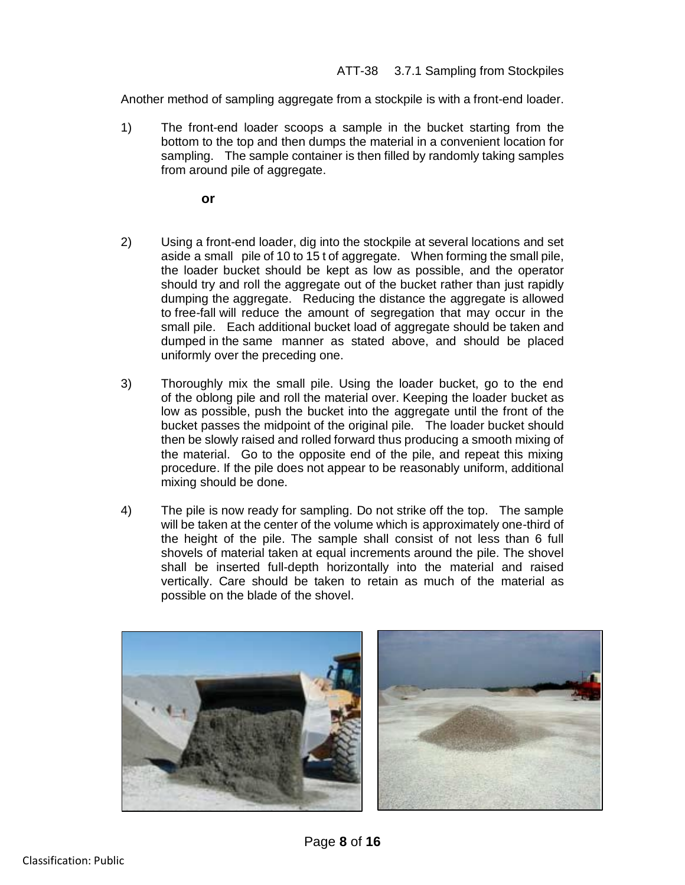Another method of sampling aggregate from a stockpile is with a front-end loader.

1) The front-end loader scoops a sample in the bucket starting from the bottom to the top and then dumps the material in a convenient location for sampling. The sample container is then filled by randomly taking samples from around pile of aggregate.

**or**

- 2) Using a front-end loader, dig into the stockpile at several locations and set aside a small pile of 10 to 15 t of aggregate. When forming the small pile, the loader bucket should be kept as low as possible, and the operator should try and roll the aggregate out of the bucket rather than just rapidly dumping the aggregate. Reducing the distance the aggregate is allowed to free-fall will reduce the amount of segregation that may occur in the small pile. Each additional bucket load of aggregate should be taken and dumped in the same manner as stated above, and should be placed uniformly over the preceding one.
- 3) Thoroughly mix the small pile. Using the loader bucket, go to the end of the oblong pile and roll the material over. Keeping the loader bucket as low as possible, push the bucket into the aggregate until the front of the bucket passes the midpoint of the original pile. The loader bucket should then be slowly raised and rolled forward thus producing a smooth mixing of the material. Go to the opposite end of the pile, and repeat this mixing procedure. If the pile does not appear to be reasonably uniform, additional mixing should be done.
- 4) The pile is now ready for sampling. Do not strike off the top. The sample will be taken at the center of the volume which is approximately one-third of the height of the pile. The sample shall consist of not less than 6 full shovels of material taken at equal increments around the pile. The shovel shall be inserted full-depth horizontally into the material and raised vertically. Care should be taken to retain as much of the material as possible on the blade of the shovel.

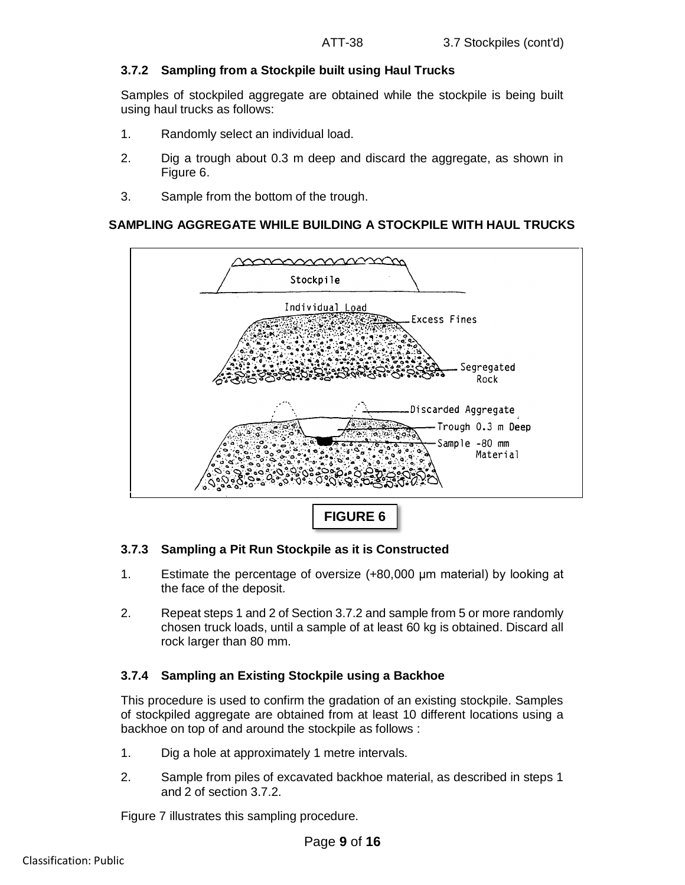# **3.7.2 Sampling from a Stockpile built using Haul Trucks**

Samples of stockpiled aggregate are obtained while the stockpile is being built using haul trucks as follows:

- 1. Randomly select an individual load.
- 2. Dig a trough about 0.3 m deep and discard the aggregate, as shown in Figure 6.
- 3. Sample from the bottom of the trough.

#### **SAMPLING AGGREGATE WHILE BUILDING A STOCKPILE WITH HAUL TRUCKS**



#### **3.7.3 Sampling a Pit Run Stockpile as it is Constructed**

- 1. Estimate the percentage of oversize (+80,000 μm material) by looking at the face of the deposit.
- 2. Repeat steps 1 and 2 of Section 3.7.2 and sample from 5 or more randomly chosen truck loads, until a sample of at least 60 kg is obtained. Discard all rock larger than 80 mm.

#### **3.7.4 Sampling an Existing Stockpile using a Backhoe**

This procedure is used to confirm the gradation of an existing stockpile. Samples of stockpiled aggregate are obtained from at least 10 different locations using a backhoe on top of and around the stockpile as follows :

- 1. Dig a hole at approximately 1 metre intervals.
- 2. Sample from piles of excavated backhoe material, as described in steps 1 and 2 of section 3.7.2.

Figure 7 illustrates this sampling procedure.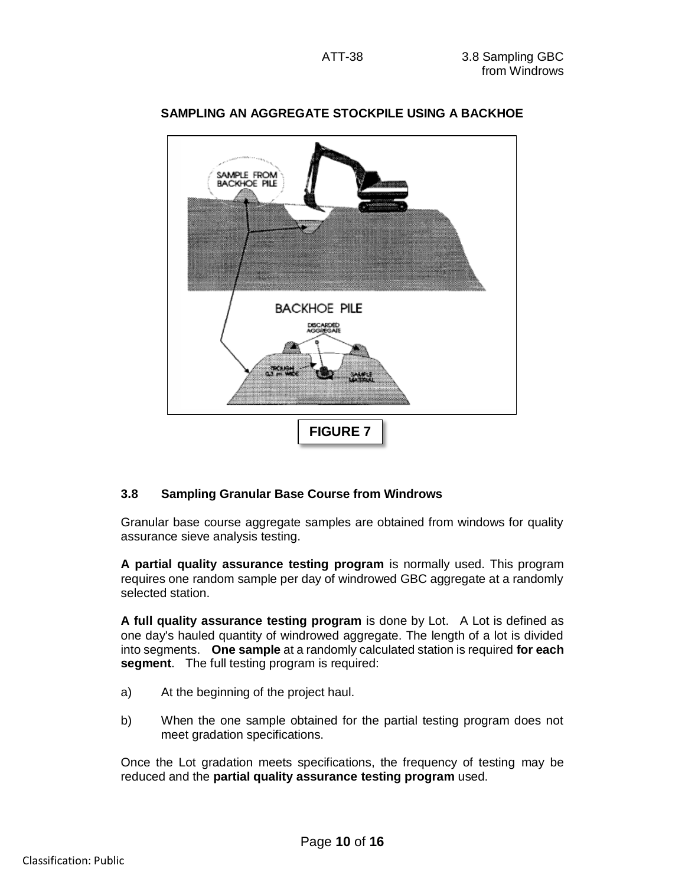

# **SAMPLING AN AGGREGATE STOCKPILE USING A BACKHOE**

# **3.8 Sampling Granular Base Course from Windrows**

Granular base course aggregate samples are obtained from windows for quality assurance sieve analysis testing.

**A partial quality assurance testing program** is normally used. This program requires one random sample per day of windrowed GBC aggregate at a randomly selected station.

**A full quality assurance testing program** is done by Lot. A Lot is defined as one day's hauled quantity of windrowed aggregate. The length of a lot is divided into segments. **One sample** at a randomly calculated station is required **for each segment**. The full testing program is required:

- a) At the beginning of the project haul.
- b) When the one sample obtained for the partial testing program does not meet gradation specifications.

Once the Lot gradation meets specifications, the frequency of testing may be reduced and the **partial quality assurance testing program** used.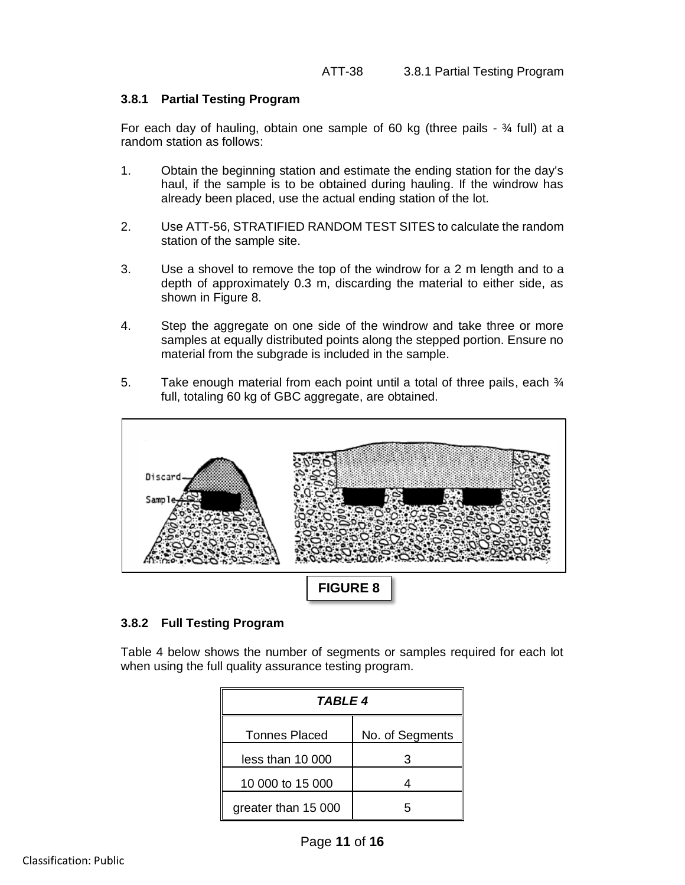# **3.8.1 Partial Testing Program**

For each day of hauling, obtain one sample of 60 kg (three pails  $-3/4$  full) at a random station as follows:

- 1. Obtain the beginning station and estimate the ending station for the day's haul, if the sample is to be obtained during hauling. If the windrow has already been placed, use the actual ending station of the lot.
- 2. Use ATT-56, STRATIFIED RANDOM TEST SITES to calculate the random station of the sample site.
- 3. Use a shovel to remove the top of the windrow for a 2 m length and to a depth of approximately 0.3 m, discarding the material to either side, as shown in Figure 8.
- 4. Step the aggregate on one side of the windrow and take three or more samples at equally distributed points along the stepped portion. Ensure no material from the subgrade is included in the sample.
- 5. Take enough material from each point until a total of three pails, each  $\frac{3}{4}$ full, totaling 60 kg of GBC aggregate, are obtained.



# **3.8.2 Full Testing Program**

Table 4 below shows the number of segments or samples required for each lot when using the full quality assurance testing program.

| TABLE 4              |                 |  |
|----------------------|-----------------|--|
| <b>Tonnes Placed</b> | No. of Segments |  |
| less than 10 000     |                 |  |
| 10 000 to 15 000     |                 |  |
| greater than 15 000  |                 |  |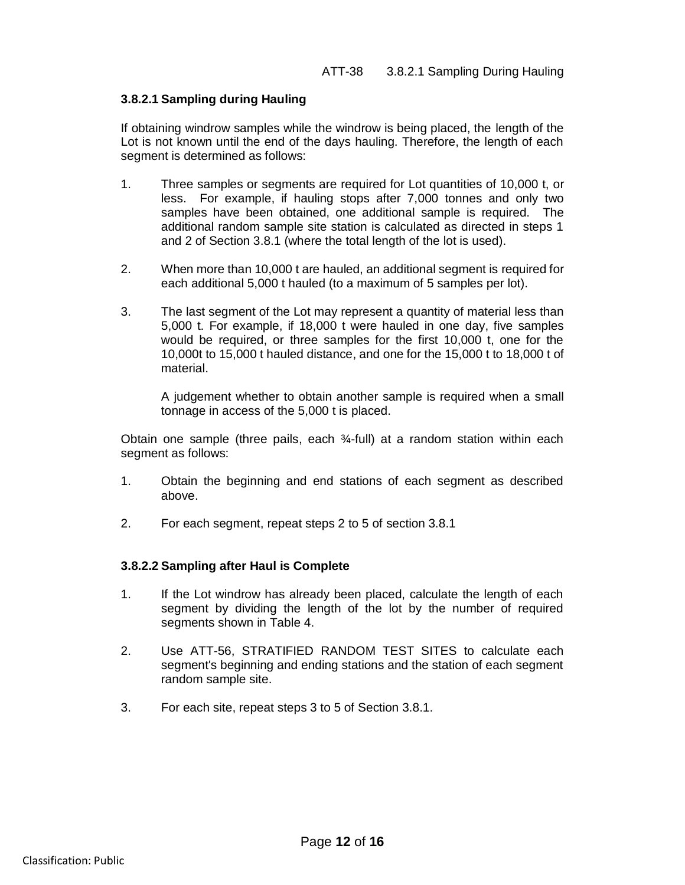#### **3.8.2.1 Sampling during Hauling**

If obtaining windrow samples while the windrow is being placed, the length of the Lot is not known until the end of the days hauling. Therefore, the length of each segment is determined as follows:

- 1. Three samples or segments are required for Lot quantities of 10,000 t, or less. For example, if hauling stops after 7,000 tonnes and only two samples have been obtained, one additional sample is required. The additional random sample site station is calculated as directed in steps 1 and 2 of Section 3.8.1 (where the total length of the lot is used).
- 2. When more than 10,000 t are hauled, an additional segment is required for each additional 5,000 t hauled (to a maximum of 5 samples per lot).
- 3. The last segment of the Lot may represent a quantity of material less than 5,000 t. For example, if 18,000 t were hauled in one day, five samples would be required, or three samples for the first 10,000 t, one for the 10,000t to 15,000 t hauled distance, and one for the 15,000 t to 18,000 t of material.

A judgement whether to obtain another sample is required when a small tonnage in access of the 5,000 t is placed.

Obtain one sample (three pails, each ¾-full) at a random station within each segment as follows:

- 1. Obtain the beginning and end stations of each segment as described above.
- 2. For each segment, repeat steps 2 to 5 of section 3.8.1

#### **3.8.2.2 Sampling after Haul is Complete**

- 1. If the Lot windrow has already been placed, calculate the length of each segment by dividing the length of the lot by the number of required segments shown in Table 4.
- 2. Use ATT-56, STRATIFIED RANDOM TEST SITES to calculate each segment's beginning and ending stations and the station of each segment random sample site.
- 3. For each site, repeat steps 3 to 5 of Section 3.8.1.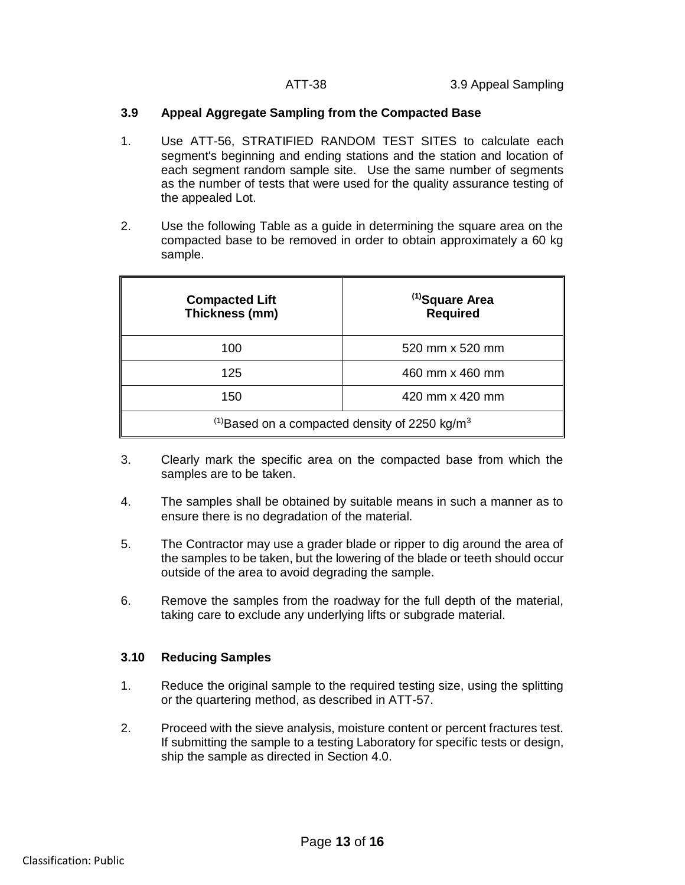# **3.9 Appeal Aggregate Sampling from the Compacted Base**

- 1. Use ATT-56, STRATIFIED RANDOM TEST SITES to calculate each segment's beginning and ending stations and the station and location of each segment random sample site. Use the same number of segments as the number of tests that were used for the quality assurance testing of the appealed Lot.
- 2. Use the following Table as a guide in determining the square area on the compacted base to be removed in order to obtain approximately a 60 kg sample.

| <b>Compacted Lift</b><br>Thickness (mm)                               | <sup>(1)</sup> Square Area<br><b>Required</b> |  |  |
|-----------------------------------------------------------------------|-----------------------------------------------|--|--|
| 100                                                                   | 520 mm x 520 mm                               |  |  |
| 125                                                                   | 460 mm x 460 mm                               |  |  |
| 150                                                                   | 420 mm x 420 mm                               |  |  |
| <sup>(1)</sup> Based on a compacted density of 2250 kg/m <sup>3</sup> |                                               |  |  |

- 3. Clearly mark the specific area on the compacted base from which the samples are to be taken.
- 4. The samples shall be obtained by suitable means in such a manner as to ensure there is no degradation of the material.
- 5. The Contractor may use a grader blade or ripper to dig around the area of the samples to be taken, but the lowering of the blade or teeth should occur outside of the area to avoid degrading the sample.
- 6. Remove the samples from the roadway for the full depth of the material, taking care to exclude any underlying lifts or subgrade material.

# **3.10 Reducing Samples**

- 1. Reduce the original sample to the required testing size, using the splitting or the quartering method, as described in ATT-57.
- 2. Proceed with the sieve analysis, moisture content or percent fractures test. If submitting the sample to a testing Laboratory for specific tests or design, ship the sample as directed in Section 4.0.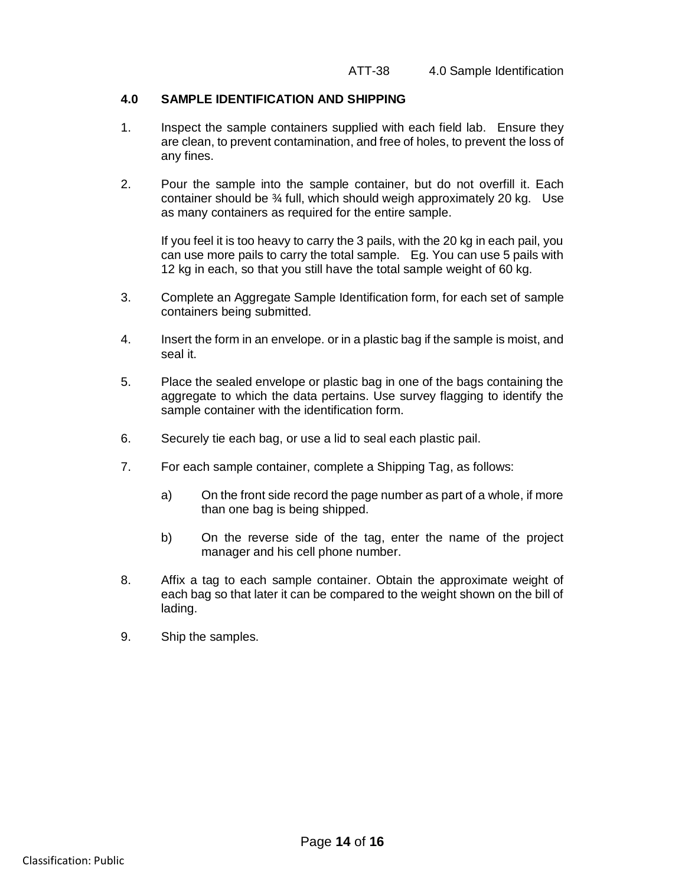#### **4.0 SAMPLE IDENTIFICATION AND SHIPPING**

- 1. Inspect the sample containers supplied with each field lab. Ensure they are clean, to prevent contamination, and free of holes, to prevent the loss of any fines.
- 2. Pour the sample into the sample container, but do not overfill it. Each container should be ¾ full, which should weigh approximately 20 kg. Use as many containers as required for the entire sample.

If you feel it is too heavy to carry the 3 pails, with the 20 kg in each pail, you can use more pails to carry the total sample. Eg. You can use 5 pails with 12 kg in each, so that you still have the total sample weight of 60 kg.

- 3. Complete an Aggregate Sample Identification form, for each set of sample containers being submitted.
- 4. Insert the form in an envelope. or in a plastic bag if the sample is moist, and seal it.
- 5. Place the sealed envelope or plastic bag in one of the bags containing the aggregate to which the data pertains. Use survey flagging to identify the sample container with the identification form.
- 6. Securely tie each bag, or use a lid to seal each plastic pail.
- 7. For each sample container, complete a Shipping Tag, as follows:
	- a) On the front side record the page number as part of a whole, if more than one bag is being shipped.
	- b) On the reverse side of the tag, enter the name of the project manager and his cell phone number.
- 8. Affix a tag to each sample container. Obtain the approximate weight of each bag so that later it can be compared to the weight shown on the bill of lading.
- 9. Ship the samples.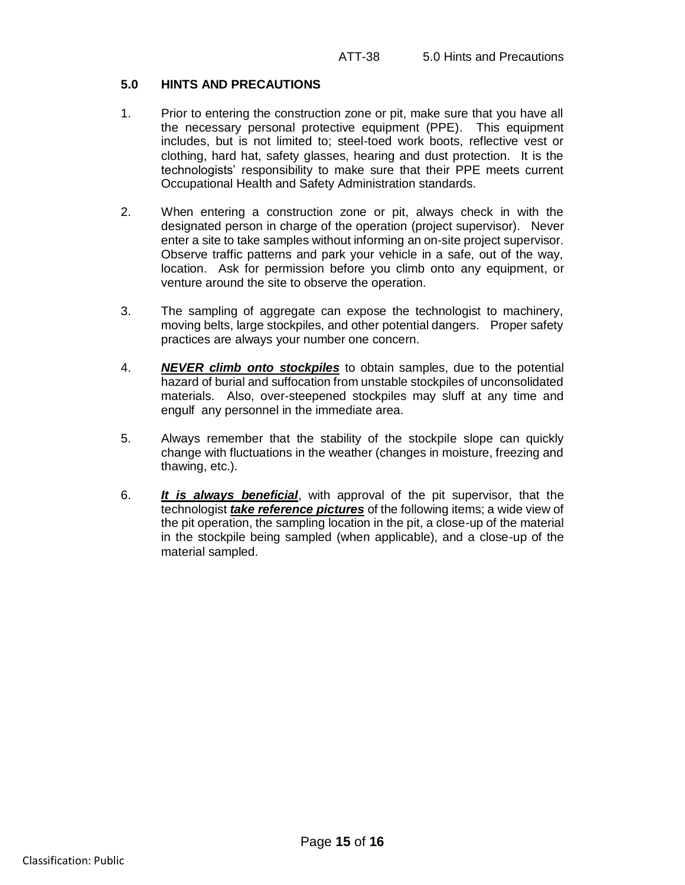### **5.0 HINTS AND PRECAUTIONS**

- 1. Prior to entering the construction zone or pit, make sure that you have all the necessary personal protective equipment (PPE). This equipment includes, but is not limited to; steel-toed work boots, reflective vest or clothing, hard hat, safety glasses, hearing and dust protection. It is the technologists' responsibility to make sure that their PPE meets current Occupational Health and Safety Administration standards.
- 2. When entering a construction zone or pit, always check in with the designated person in charge of the operation (project supervisor). Never enter a site to take samples without informing an on-site project supervisor. Observe traffic patterns and park your vehicle in a safe, out of the way, location. Ask for permission before you climb onto any equipment, or venture around the site to observe the operation.
- 3. The sampling of aggregate can expose the technologist to machinery, moving belts, large stockpiles, and other potential dangers. Proper safety practices are always your number one concern.
- 4. *NEVER climb onto stockpiles* to obtain samples, due to the potential hazard of burial and suffocation from unstable stockpiles of unconsolidated materials. Also, over-steepened stockpiles may sluff at any time and engulf any personnel in the immediate area.
- 5. Always remember that the stability of the stockpile slope can quickly change with fluctuations in the weather (changes in moisture, freezing and thawing, etc.).
- 6. *It is always beneficial*, with approval of the pit supervisor, that the technologist *take reference pictures* of the following items; a wide view of the pit operation, the sampling location in the pit, a close-up of the material in the stockpile being sampled (when applicable), and a close-up of the material sampled.